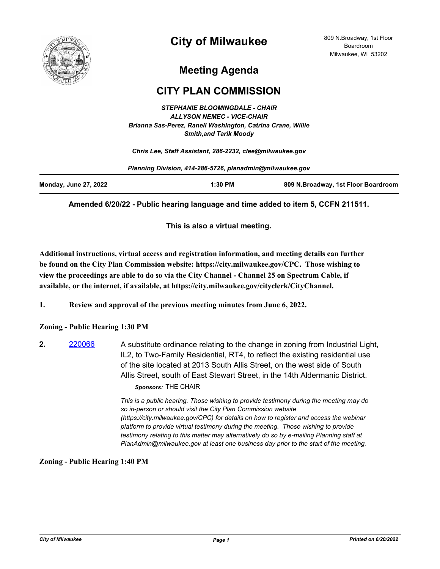

## **City of Milwaukee**

## **Meeting Agenda**

## **CITY PLAN COMMISSION**

*STEPHANIE BLOOMINGDALE - CHAIR ALLYSON NEMEC - VICE-CHAIR Brianna Sas-Perez, Ranell Washington, Catrina Crane, Willie Smith,and Tarik Moody*

*Chris Lee, Staff Assistant, 286-2232, clee@milwaukee.gov*

*Planning Division, 414-286-5726, planadmin@milwaukee.gov*

| <b>Monday, June 27, 2022</b><br>$1:30$ PM |  |  | 809 N.Broadway, 1st Floor Boardroom |
|-------------------------------------------|--|--|-------------------------------------|
|-------------------------------------------|--|--|-------------------------------------|

**Amended 6/20/22 - Public hearing language and time added to item 5, CCFN 211511.**

**This is also a virtual meeting.**

**Additional instructions, virtual access and registration information, and meeting details can further be found on the City Plan Commission website: https://city.milwaukee.gov/CPC. Those wishing to view the proceedings are able to do so via the City Channel - Channel 25 on Spectrum Cable, if available, or the internet, if available, at https://city.milwaukee.gov/cityclerk/CityChannel.**

**1. Review and approval of the previous meeting minutes from June 6, 2022.**

**Zoning - Public Hearing 1:30 PM**

**2.** [220066](http://milwaukee.legistar.com/gateway.aspx?m=l&id=/matter.aspx?key=62091) A substitute ordinance relating to the change in zoning from Industrial Light, IL2, to Two-Family Residential, RT4, to reflect the existing residential use of the site located at 2013 South Allis Street, on the west side of South Allis Street, south of East Stewart Street, in the 14th Aldermanic District.

## *Sponsors:* THE CHAIR

*This is a public hearing. Those wishing to provide testimony during the meeting may do so in-person or should visit the City Plan Commission website (https://city.milwaukee.gov/CPC) for details on how to register and access the webinar platform to provide virtual testimony during the meeting. Those wishing to provide testimony relating to this matter may alternatively do so by e-mailing Planning staff at PlanAdmin@milwaukee.gov at least one business day prior to the start of the meeting.*

**Zoning - Public Hearing 1:40 PM**